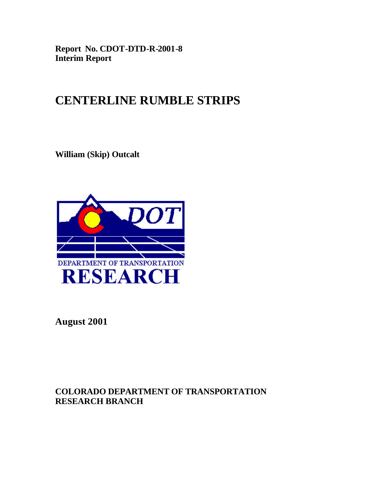**Report No. CDOT-DTD-R-2001-8 Interim Report**

# **CENTERLINE RUMBLE STRIPS**

**William (Skip) Outcalt**



**August 2001**

**COLORADO DEPARTMENT OF TRANSPORTATION RESEARCH BRANCH**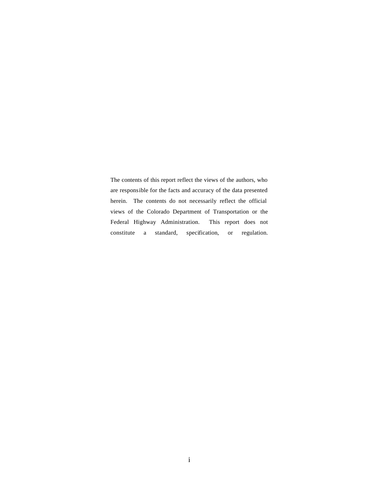The contents of this report reflect the views of the authors, who are responsible for the facts and accuracy of the data presented herein. The contents do not necessarily reflect the official views of the Colorado Department of Transportation or the Federal Highway Administration. This report does not constitute a standard, specification, or regulation.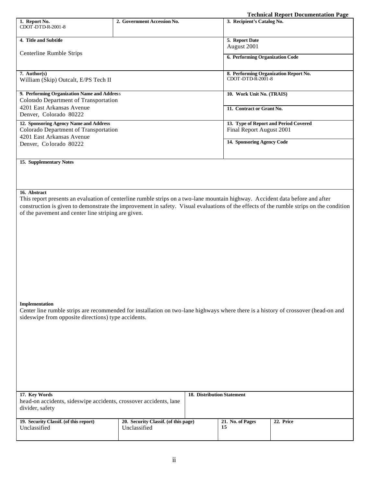|                                                                                                                                    |                             | <b>Technical Report Documentation Page</b>                                                                                              |
|------------------------------------------------------------------------------------------------------------------------------------|-----------------------------|-----------------------------------------------------------------------------------------------------------------------------------------|
| 1. Report No.                                                                                                                      | 2. Government Accession No. | 3. Recipient's Catalog No.                                                                                                              |
| CDOT-DTD-R-2001-8                                                                                                                  |                             |                                                                                                                                         |
|                                                                                                                                    |                             |                                                                                                                                         |
| 4. Title and Subtitle                                                                                                              |                             | 5. Report Date                                                                                                                          |
|                                                                                                                                    |                             | August 2001                                                                                                                             |
| Centerline Rumble Strips                                                                                                           |                             |                                                                                                                                         |
|                                                                                                                                    |                             | 6. Performing Organization Code                                                                                                         |
|                                                                                                                                    |                             |                                                                                                                                         |
| 7. Author(s)                                                                                                                       |                             | 8. Performing Organization Report No.                                                                                                   |
| William (Skip) Outcalt, E/PS Tech II                                                                                               |                             | CDOT-DTD-R-2001-8                                                                                                                       |
|                                                                                                                                    |                             |                                                                                                                                         |
| 9. Performing Organization Name and Address                                                                                        |                             | 10. Work Unit No. (TRAIS)                                                                                                               |
| Colorado Department of Transportation                                                                                              |                             |                                                                                                                                         |
| 4201 East Arkansas Avenue                                                                                                          |                             | 11. Contract or Grant No.                                                                                                               |
| Denver, Colorado 80222                                                                                                             |                             |                                                                                                                                         |
| 12. Sponsoring Agency Name and Address                                                                                             |                             | 13. Type of Report and Period Covered                                                                                                   |
| Colorado Department of Transportation                                                                                              |                             | Final Report August 2001                                                                                                                |
| 4201 East Arkansas Avenue                                                                                                          |                             |                                                                                                                                         |
| Denver, Colorado 80222                                                                                                             |                             | 14. Sponsoring Agency Code                                                                                                              |
|                                                                                                                                    |                             |                                                                                                                                         |
|                                                                                                                                    |                             |                                                                                                                                         |
| 15. Supplementary Notes                                                                                                            |                             |                                                                                                                                         |
|                                                                                                                                    |                             |                                                                                                                                         |
|                                                                                                                                    |                             |                                                                                                                                         |
|                                                                                                                                    |                             |                                                                                                                                         |
| 16. Abstract                                                                                                                       |                             |                                                                                                                                         |
|                                                                                                                                    |                             | This report presents an evaluation of centerline rumble strips on a two-lane mountain highway. Accident data before and after           |
|                                                                                                                                    |                             | construction is given to demonstrate the improvement in safety. Visual evaluations of the effects of the rumble strips on the condition |
|                                                                                                                                    |                             |                                                                                                                                         |
| of the pavement and center line striping are given.                                                                                |                             |                                                                                                                                         |
|                                                                                                                                    |                             |                                                                                                                                         |
|                                                                                                                                    |                             |                                                                                                                                         |
|                                                                                                                                    |                             |                                                                                                                                         |
|                                                                                                                                    |                             |                                                                                                                                         |
|                                                                                                                                    |                             |                                                                                                                                         |
|                                                                                                                                    |                             |                                                                                                                                         |
|                                                                                                                                    |                             |                                                                                                                                         |
|                                                                                                                                    |                             |                                                                                                                                         |
|                                                                                                                                    |                             |                                                                                                                                         |
|                                                                                                                                    |                             |                                                                                                                                         |
|                                                                                                                                    |                             |                                                                                                                                         |
|                                                                                                                                    |                             |                                                                                                                                         |
| Implementation                                                                                                                     |                             |                                                                                                                                         |
| Center line rumble strips are recommended for installation on two-lane highways where there is a history of crossover (head-on and |                             |                                                                                                                                         |
| sideswipe from opposite directions) type accidents.                                                                                |                             |                                                                                                                                         |
|                                                                                                                                    |                             |                                                                                                                                         |
|                                                                                                                                    |                             |                                                                                                                                         |
|                                                                                                                                    |                             |                                                                                                                                         |
|                                                                                                                                    |                             |                                                                                                                                         |

| 17. Key Words                                                     |                                      | <b>18. Distribution Statement</b> |                  |           |
|-------------------------------------------------------------------|--------------------------------------|-----------------------------------|------------------|-----------|
| head-on accidents, sideswipe accidents, crossover accidents, lane |                                      |                                   |                  |           |
| divider, safety                                                   |                                      |                                   |                  |           |
|                                                                   |                                      |                                   |                  |           |
| 19. Security Classif. (of this report)                            | 20. Security Classif. (of this page) |                                   | 21. No. of Pages | 22. Price |
| Unclassified                                                      | Unclassified                         |                                   | 15               |           |
|                                                                   |                                      |                                   |                  |           |
|                                                                   |                                      |                                   |                  |           |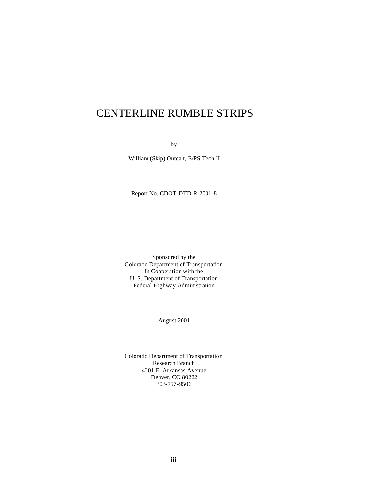# CENTERLINE RUMBLE STRIPS

by

William (Skip) Outcalt, E/PS Tech II

Report No. CDOT-DTD-R-2001-8

Sponsored by the Colorado Department of Transportation In Cooperation with the U. S. Department of Transportation Federal Highway Administration

August 2001

Colorado Department of Transportation Research Branch 4201 E. Arkansas Avenue Denver, CO 80222 303-757-9506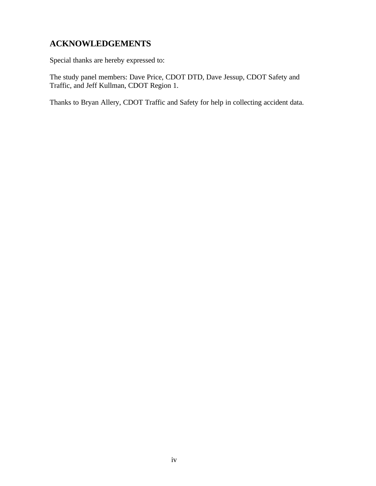# **ACKNOWLEDGEMENTS**

Special thanks are hereby expressed to:

The study panel members: Dave Price, CDOT DTD, Dave Jessup, CDOT Safety and Traffic, and Jeff Kullman, CDOT Region 1.

Thanks to Bryan Allery, CDOT Traffic and Safety for help in collecting accident data.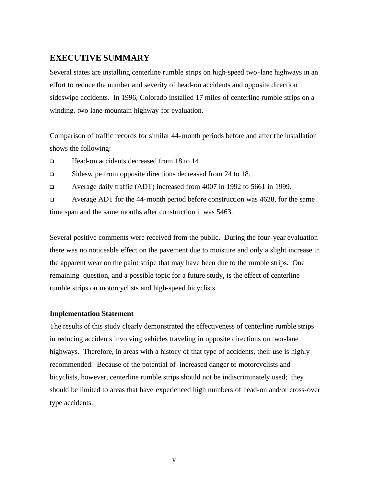### **EXECUTIVE SUMMARY**

Several states are installing centerline rumble strips on high-speed two-lane highways in an effort to reduce the number and severity of head-on accidents and opposite direction sideswipe accidents. In 1996, Colorado installed 17 miles of centerline rumble strips on a winding, two lane mountain highway for evaluation.

Comparison of traffic records for similar 44-month periods before and after the installation shows the following:

q Head-on accidents decreased from 18 to 14.

q Sideswipe from opposite directions decreased from 24 to 18.

<sup>q</sup> Average daily traffic (ADT) increased from 4007 in 1992 to 5661 in 1999.

<sup>q</sup> Average ADT for the 44-month period before construction was 4628, for the same time span and the same months after construction it was 5463.

Several positive comments were received from the public. During the four-year evaluation there was no noticeable effect on the pavement due to moisture and only a slight increase in the apparent wear on the paint stripe that may have been due to the rumble strips. One remaining question, and a possible topic for a future study, is the effect of centerline rumble strips on motorcyclists and high-speed bicyclists.

#### **Implementation Statement**

The results of this study clearly demonstrated the effectiveness of centerline rumble strips in reducing accidents involving vehicles traveling in opposite directions on two-lane highways. Therefore, in areas with a history of that type of accidents, their use is highly recommended. Because of the potential of increased danger to motorcyclists and bicyclists, however, centerline rumble strips should not be indiscriminately used; they should be limited to areas that have experienced high numbers of head-on and/or cross-over type accidents.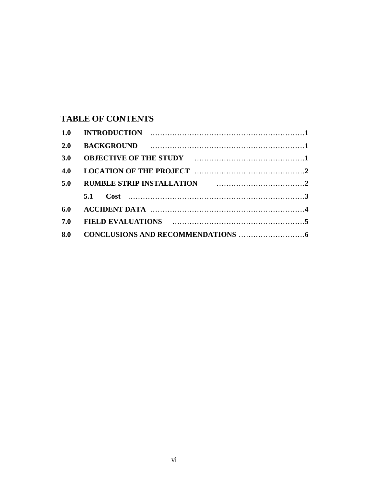## **TABLE OF CONTENTS**

| 1.0 |                                                    |  |
|-----|----------------------------------------------------|--|
| 2.0 |                                                    |  |
| 3.0 |                                                    |  |
| 4.0 |                                                    |  |
| 5.0 | RUMBLE STRIP INSTALLATION <b>FOLLOW EXECUTE:</b> 2 |  |
|     | 5.1                                                |  |
| 6.0 |                                                    |  |
| 7.0 |                                                    |  |
| 8.0 |                                                    |  |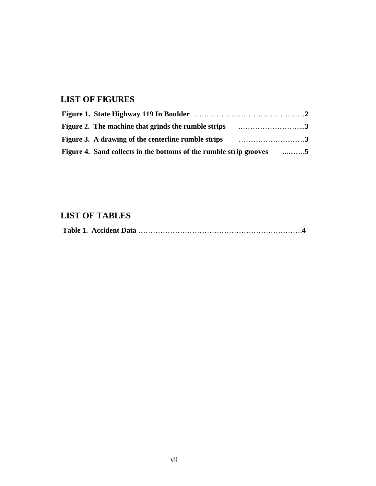# **LIST OF FIGURES**

| Figure 3. A drawing of the centerline rumble strips <i>mature 3.</i> A drawing of the centerline rumble strips |  |
|----------------------------------------------------------------------------------------------------------------|--|
| Figure 4. Sand collects in the bottoms of the rumble strip grooves 5                                           |  |

# **LIST OF TABLES**

|--|--|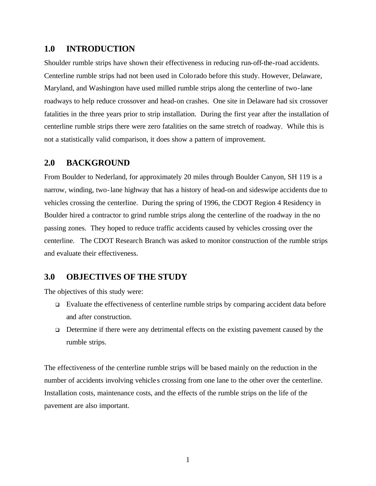#### **1.0 INTRODUCTION**

Shoulder rumble strips have shown their effectiveness in reducing run-off-the-road accidents. Centerline rumble strips had not been used in Colorado before this study. However, Delaware, Maryland, and Washington have used milled rumble strips along the centerline of two-lane roadways to help reduce crossover and head-on crashes. One site in Delaware had six crossover fatalities in the three years prior to strip installation. During the first year after the installation of centerline rumble strips there were zero fatalities on the same stretch of roadway. While this is not a statistically valid comparison, it does show a pattern of improvement.

#### **2.0 BACKGROUND**

From Boulder to Nederland, for approximately 20 miles through Boulder Canyon, SH 119 is a narrow, winding, two-lane highway that has a history of head-on and sideswipe accidents due to vehicles crossing the centerline. During the spring of 1996, the CDOT Region 4 Residency in Boulder hired a contractor to grind rumble strips along the centerline of the roadway in the no passing zones. They hoped to reduce traffic accidents caused by vehicles crossing over the centerline. The CDOT Research Branch was asked to monitor construction of the rumble strips and evaluate their effectiveness.

#### **3.0 OBJECTIVES OF THE STUDY**

The objectives of this study were:

- $\Box$  Evaluate the effectiveness of centerline rumble strips by comparing accident data before and after construction.
- $\Box$  Determine if there were any detrimental effects on the existing pavement caused by the rumble strips.

The effectiveness of the centerline rumble strips will be based mainly on the reduction in the number of accidents involving vehicle s crossing from one lane to the other over the centerline. Installation costs, maintenance costs, and the effects of the rumble strips on the life of the pavement are also important.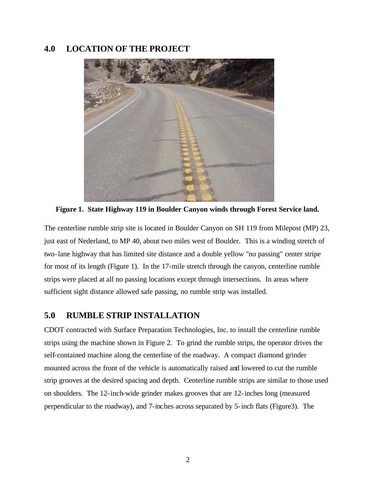### **4.0 LOCATION OF THE PROJECT**



**Figure 1. State Highway 119 in Boulder Canyon winds through Forest Service land.**

The centerline rumble strip site is located in Boulder Canyon on SH 119 from Milepost (MP) 23, just east of Nederland, to MP 40, about two miles west of Boulder. This is a winding stretch of two-lane highway that has limited site distance and a double yellow "no passing" center stripe for most of its length (Figure 1). In the 17-mile stretch through the canyon, centerline rumble strips were placed at all no passing locations except through intersections. In areas where sufficient sight distance allowed safe passing, no rumble strip was installed.

## **5.0 RUMBLE STRIP INSTALLATION**

CDOT contracted with Surface Preparation Technologies, Inc. to install the centerline rumble strips using the machine shown in Figure 2. To grind the rumble strips, the operator drives the self-contained machine along the centerline of the roadway. A compact diamond grinder mounted across the front of the vehicle is automatically raised and lowered to cut the rumble strip grooves at the desired spacing and depth. Centerline rumble strips are similar to those used on shoulders. The 12-inch-wide grinder makes grooves that are 12-inches long (measured perpendicular to the roadway), and 7-inches across separated by 5-inch flats (Figure3). The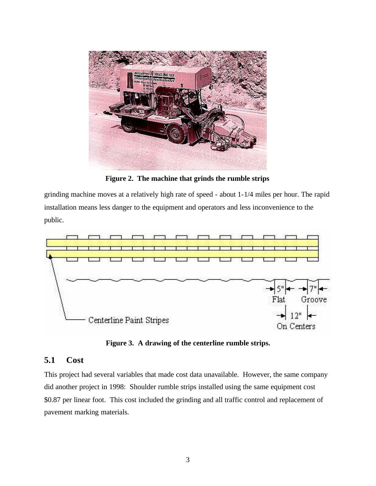

**Figure 2. The machine that grinds the rumble strips**

grinding machine moves at a relatively high rate of speed - about 1-1/4 miles per hour. The rapid installation means less danger to the equipment and operators and less inconvenience to the public.



**Figure 3. A drawing of the centerline rumble strips.**

## **5.1 Cost**

This project had several variables that made cost data unavailable. However, the same company did another project in 1998: Shoulder rumble strips installed using the same equipment cost \$0.87 per linear foot. This cost included the grinding and all traffic control and replacement of pavement marking materials.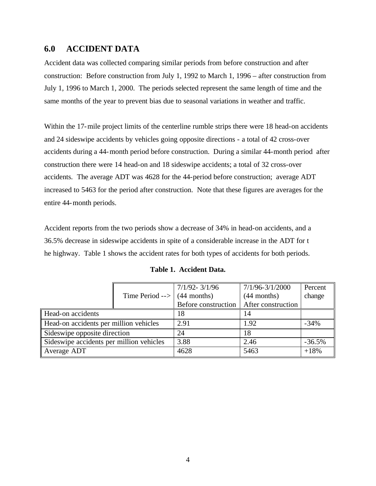## **6.0 ACCIDENT DATA**

Accident data was collected comparing similar periods from before construction and after construction: Before construction from July 1, 1992 to March 1, 1996 – after construction from July 1, 1996 to March 1, 2000. The periods selected represent the same length of time and the same months of the year to prevent bias due to seasonal variations in weather and traffic.

Within the 17-mile project limits of the centerline rumble strips there were 18 head-on accidents and 24 sideswipe accidents by vehicles going opposite directions - a total of 42 cross-over accidents during a 44-month period before construction. During a similar 44-month period after construction there were 14 head-on and 18 sideswipe accidents; a total of 32 cross-over accidents. The average ADT was 4628 for the 44-period before construction; average ADT increased to 5463 for the period after construction. Note that these figures are averages for the entire 44-month periods.

Accident reports from the two periods show a decrease of 34% in head-on accidents, and a 36.5% decrease in sideswipe accidents in spite of a considerable increase in the ADT for t he highway. Table 1 shows the accident rates for both types of accidents for both periods.

|                                          |                           | $7/1/92 - 3/1/96$   | $7/1/96 - 3/1/2000$ | Percent  |
|------------------------------------------|---------------------------|---------------------|---------------------|----------|
|                                          | Time Period $\rightarrow$ | $(44$ months)       | $(44$ months)       | change   |
|                                          |                           | Before construction | After construction  |          |
| Head-on accidents                        |                           | 18                  | 14                  |          |
| Head-on accidents per million vehicles   |                           | 2.91                | 1.92                | $-34%$   |
| Sideswipe opposite direction             |                           | 24                  | 18                  |          |
| Sideswipe accidents per million vehicles |                           | 3.88                | 2.46                | $-36.5%$ |
| Average ADT                              |                           | 4628                | 5463                | $+18%$   |

**Table 1. Accident Data.**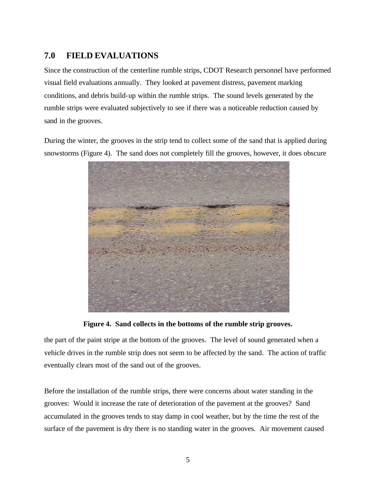## **7.0 FIELD EVALUATIONS**

Since the construction of the centerline rumble strips, CDOT Research personnel have performed visual field evaluations annually. They looked at pavement distress, pavement marking conditions, and debris build-up within the rumble strips. The sound levels generated by the rumble strips were evaluated subjectively to see if there was a noticeable reduction caused by sand in the grooves.

During the winter, the grooves in the strip tend to collect some of the sand that is applied during snowstorms (Figure 4). The sand does not completely fill the grooves, however, it does obscure



**Figure 4. Sand collects in the bottoms of the rumble strip grooves.**

the part of the paint stripe at the bottom of the grooves. The level of sound generated when a vehicle drives in the rumble strip does not seem to be affected by the sand. The action of traffic eventually clears most of the sand out of the grooves.

Before the installation of the rumble strips, there were concerns about water standing in the grooves: Would it increase the rate of deterioration of the pavement at the grooves? Sand accumulated in the grooves tends to stay damp in cool weather, but by the time the rest of the surface of the pavement is dry there is no standing water in the grooves. Air movement caused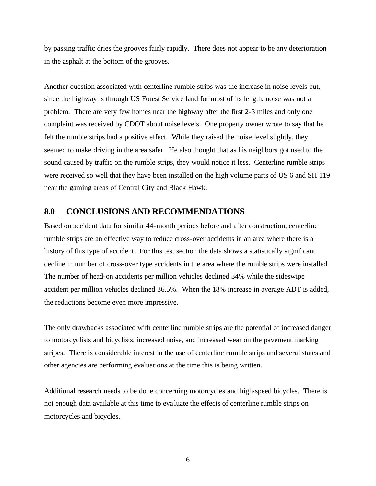by passing traffic dries the grooves fairly rapidly. There does not appear to be any deterioration in the asphalt at the bottom of the grooves.

Another question associated with centerline rumble strips was the increase in noise levels but, since the highway is through US Forest Service land for most of its length, noise was not a problem. There are very few homes near the highway after the first 2-3 miles and only one complaint was received by CDOT about noise levels. One property owner wrote to say that he felt the rumble strips had a positive effect. While they raised the nois e level slightly, they seemed to make driving in the area safer. He also thought that as his neighbors got used to the sound caused by traffic on the rumble strips, they would notice it less. Centerline rumble strips were received so well that they have been installed on the high volume parts of US 6 and SH 119 near the gaming areas of Central City and Black Hawk.

#### **8.0 CONCLUSIONS AND RECOMMENDATIONS**

Based on accident data for similar 44-month periods before and after construction, centerline rumble strips are an effective way to reduce cross-over accidents in an area where there is a history of this type of accident. For this test section the data shows a statistically significant decline in number of cross-over type accidents in the area where the rumble strips were installed. The number of head-on accidents per million vehicles declined 34% while the sideswipe accident per million vehicles declined 36.5%. When the 18% increase in average ADT is added, the reductions become even more impressive.

The only drawbacks associated with centerline rumble strips are the potential of increased danger to motorcyclists and bicyclists, increased noise, and increased wear on the pavement marking stripes. There is considerable interest in the use of centerline rumble strips and several states and other agencies are performing evaluations at the time this is being written.

Additional research needs to be done concerning motorcycles and high-speed bicycles. There is not enough data available at this time to eva luate the effects of centerline rumble strips on motorcycles and bicycles.